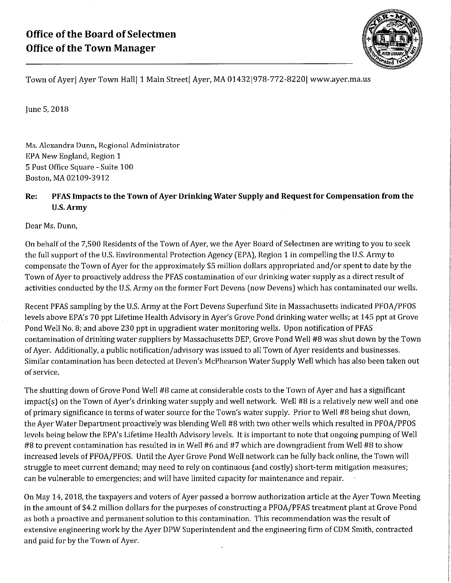

Town of Ayer | Ayer Town Hall | 1 Main Street | Ayer, MA 01432 | 978-772-8220 | www.ayer.ma.us

June 5,2018

Ms. Alexandra Dunn, Regional Administrator EPA New England, Region 1 5 Post Office Square - Suite 100 Boston, MA 02109-3912

## Re: PFAS Impacts to the Town ofAyer Drinking Water Supply and Request for Compensation from the U.S. Army

Dear Ms. Dunn,

On behalf of the 7,500 Residents of the Town of Ayer, we the Ayer Board of Selectmen are writing to you to seek the full support of the U.S. Environmental Protection Agency [EPA), Region 1 in compelling the U.S. Army to compensate the Town ofAyer for the approximately \$5 million dollars appropriated and/or spent to date by the Town of Ayer to proactively address the PFAS contamination of our drinking water supply as a direct result of activities conducted by the U.S. Army on the former Fort Devens [now Devens) which has contaminated our wells.

Recent PFAS sampling by the U.S. Army at the Fort Devens Superfund Site in Massachusetts indicated PFOA/PFOS levels above EPA's 70 ppt Lifetime Health Advisory in Ayer's Grove Pond drinking water wells; at 145 ppt at Grove Pond Well No. 8; and above 230 ppt in upgradient water monitoring wells. Upon notification of PFAS contamination of drinking water suppliers by Massachusetts DEP, Grove Pond Well #8 was shut down by the Town of Ayer. Additionally, a public notification/advisory was issued to all Town of Ayer residents and businesses. Similar contamination has been detected at Deven's McPhearson Water Supply Well which has also been taken out of service.

The shutting down of Grove Pond Well #8 came at considerable costs to the Town of Ayer and has a significant  $impact(s)$  on the Town of Ayer's drinking water supply and well network. Well #8 is a relatively new well and one of primary significance in terms of water source for the Town's water supply. Prior to Well #8 being shut down, the Ayer Water Department proactively was blending Well #8 with two other wells which resulted in PFOA/PFOS levels being below the EPA's Lifetime Health Advisory levels. It is important to note that ongoing pumping of Well #8 to prevent contamination has resulted in in Well #6 and #7 which are downgradient from Well #8 to show increased levels of PFOA/PFOS. Until the Ayer Grove Pond Well network can be fully back online, the Town will struggle to meet current demand; may need to rely on continuous [and costly) short-term mitigation measures; can be vulnerable to emergencies; and will have limited capacity for maintenance and repair.

On May 14, 2018, the taxpayers and voters of Ayer passed a borrow authorization article at the Ayer Town Meeting in the amount of \$4.2 million dollars for the purposes of constructing a PFOA/PFAS treatment plant at Grove Pond as both a proactive and permanent solution to this contamination. This recommendation was the result of extensive engineering work by the Ayer DPW Superintendent and the engineering firm of CDM Smith, contracted and paid for by the Town of Ayer.